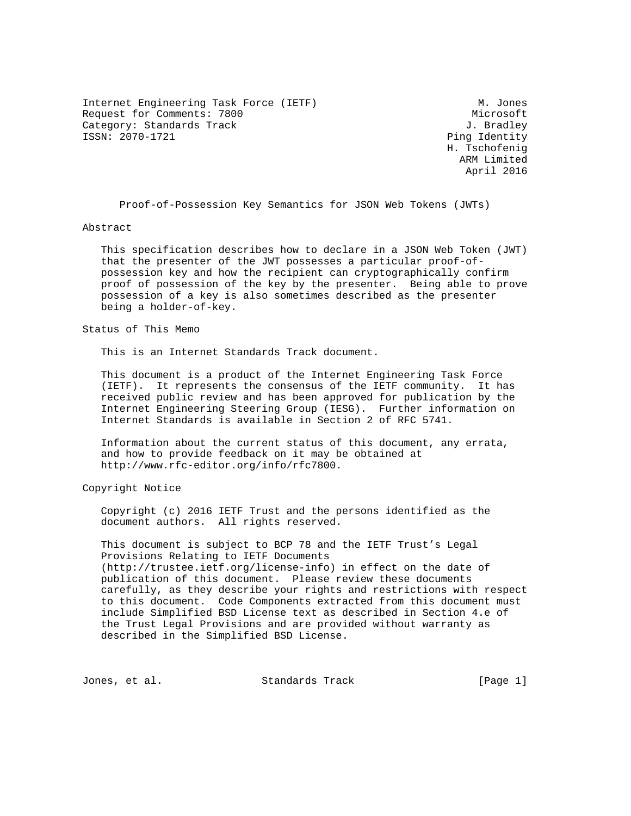Internet Engineering Task Force (IETF) M. Jones Request for Comments: 7800 Microsoft Category: Standards Track J. Bradley<br>
ISSN: 2070-1721<br>
Ping Identity

Ping Identity H. Tschofenig ARM Limited April 2016

Proof-of-Possession Key Semantics for JSON Web Tokens (JWTs)

Abstract

 This specification describes how to declare in a JSON Web Token (JWT) that the presenter of the JWT possesses a particular proof-of possession key and how the recipient can cryptographically confirm proof of possession of the key by the presenter. Being able to prove possession of a key is also sometimes described as the presenter being a holder-of-key.

Status of This Memo

This is an Internet Standards Track document.

 This document is a product of the Internet Engineering Task Force (IETF). It represents the consensus of the IETF community. It has received public review and has been approved for publication by the Internet Engineering Steering Group (IESG). Further information on Internet Standards is available in Section 2 of RFC 5741.

 Information about the current status of this document, any errata, and how to provide feedback on it may be obtained at http://www.rfc-editor.org/info/rfc7800.

Copyright Notice

 Copyright (c) 2016 IETF Trust and the persons identified as the document authors. All rights reserved.

 This document is subject to BCP 78 and the IETF Trust's Legal Provisions Relating to IETF Documents (http://trustee.ietf.org/license-info) in effect on the date of publication of this document. Please review these documents carefully, as they describe your rights and restrictions with respect to this document. Code Components extracted from this document must include Simplified BSD License text as described in Section 4.e of the Trust Legal Provisions and are provided without warranty as described in the Simplified BSD License.

Jones, et al. Standards Track [Page 1]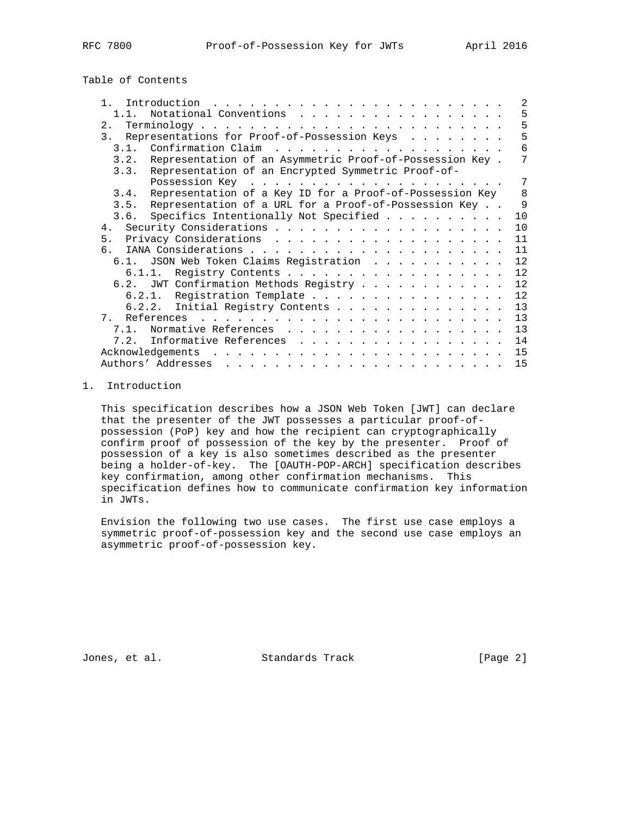Table of Contents

| $\mathbf{1}$ | Introduction                                                                                                                                                                                                                                          | 2                 |
|--------------|-------------------------------------------------------------------------------------------------------------------------------------------------------------------------------------------------------------------------------------------------------|-------------------|
|              | Notational Conventions                                                                                                                                                                                                                                | 5                 |
| 2.           |                                                                                                                                                                                                                                                       | 5                 |
| 3.           | Representations for Proof-of-Possession Keys                                                                                                                                                                                                          | 5                 |
| 3.1.         | Confirmation Claim                                                                                                                                                                                                                                    | 6                 |
| 3.2.         | Representation of an Asymmetric Proof-of-Possession Key.                                                                                                                                                                                              | 7                 |
| 3.3.         | Representation of an Encrypted Symmetric Proof-of-                                                                                                                                                                                                    |                   |
|              |                                                                                                                                                                                                                                                       | 7                 |
| 3.4.         | Representation of a Key ID for a Proof-of-Possession Key                                                                                                                                                                                              | 8                 |
| 3.5.         | Representation of a URL for a Proof-of-Possession Key                                                                                                                                                                                                 | $\mathsf{Q}$      |
|              | 3.6. Specifics Intentionally Not Specified                                                                                                                                                                                                            | 10                |
| 4.           |                                                                                                                                                                                                                                                       | 10                |
| 5.           |                                                                                                                                                                                                                                                       | 11                |
| რ.           |                                                                                                                                                                                                                                                       | 11                |
|              | 6.1. JSON Web Token Claims Registration                                                                                                                                                                                                               | $12 \overline{ }$ |
|              | Registry Contents<br>6.1.1.                                                                                                                                                                                                                           | 12                |
|              | 6.2. JWT Confirmation Methods Registry                                                                                                                                                                                                                | 12 <sup>°</sup>   |
|              | 6.2.1. Registration Template                                                                                                                                                                                                                          | $12 \overline{ }$ |
|              | Initial Registry Contents<br>6.2.2.                                                                                                                                                                                                                   | 13                |
| 7            |                                                                                                                                                                                                                                                       | 13                |
| $7.1$ .      | Normative References                                                                                                                                                                                                                                  | 13                |
| 7.2.         | Informative References                                                                                                                                                                                                                                | 14                |
|              | Acknowledgements<br>$\frac{1}{2}$ . The contract of the contract of the contract of the contract of the contract of the contract of the contract of the contract of the contract of the contract of the contract of the contract of the contract of t | 15                |
|              | Authors' Addresses<br>and a series of the contract of the contract of the contract of the contract of the contract of the contract of                                                                                                                 | 15                |

### 1. Introduction

 This specification describes how a JSON Web Token [JWT] can declare that the presenter of the JWT possesses a particular proof-of possession (PoP) key and how the recipient can cryptographically confirm proof of possession of the key by the presenter. Proof of possession of a key is also sometimes described as the presenter being a holder-of-key. The [OAUTH-POP-ARCH] specification describes key confirmation, among other confirmation mechanisms. This specification defines how to communicate confirmation key information in JWTs.

 Envision the following two use cases. The first use case employs a symmetric proof-of-possession key and the second use case employs an asymmetric proof-of-possession key.

Jones, et al. Standards Track [Page 2]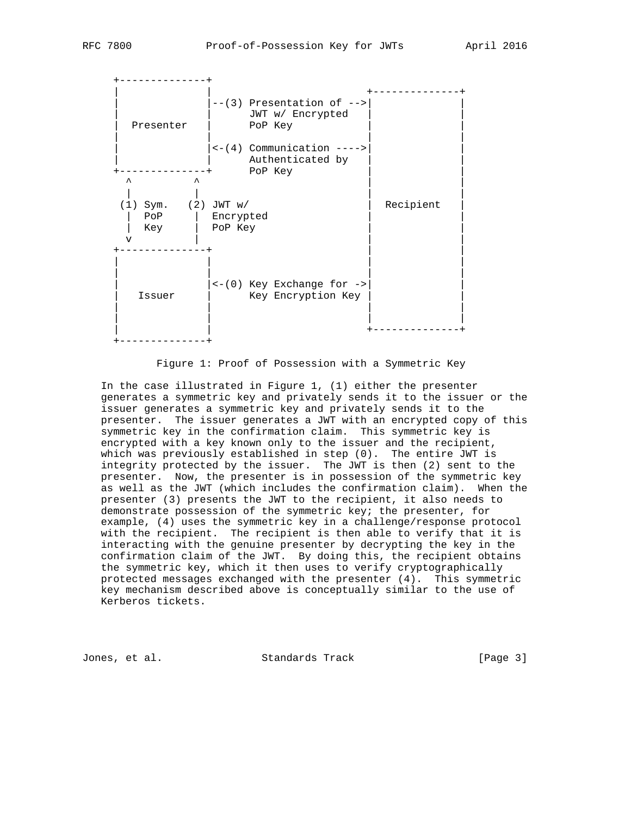

Figure 1: Proof of Possession with a Symmetric Key

 In the case illustrated in Figure 1, (1) either the presenter generates a symmetric key and privately sends it to the issuer or the issuer generates a symmetric key and privately sends it to the presenter. The issuer generates a JWT with an encrypted copy of this symmetric key in the confirmation claim. This symmetric key is encrypted with a key known only to the issuer and the recipient, which was previously established in step (0). The entire JWT is integrity protected by the issuer. The JWT is then (2) sent to the presenter. Now, the presenter is in possession of the symmetric key as well as the JWT (which includes the confirmation claim). When the presenter (3) presents the JWT to the recipient, it also needs to demonstrate possession of the symmetric key; the presenter, for example, (4) uses the symmetric key in a challenge/response protocol with the recipient. The recipient is then able to verify that it is interacting with the genuine presenter by decrypting the key in the confirmation claim of the JWT. By doing this, the recipient obtains the symmetric key, which it then uses to verify cryptographically protected messages exchanged with the presenter (4). This symmetric key mechanism described above is conceptually similar to the use of Kerberos tickets.

Jones, et al. Standards Track [Page 3]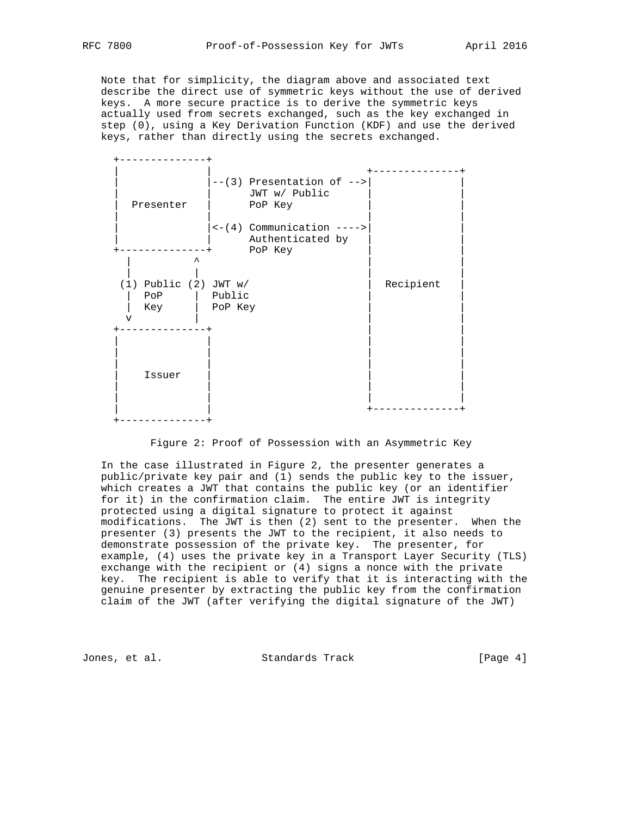Note that for simplicity, the diagram above and associated text describe the direct use of symmetric keys without the use of derived keys. A more secure practice is to derive the symmetric keys actually used from secrets exchanged, such as the key exchanged in step (0), using a Key Derivation Function (KDF) and use the derived keys, rather than directly using the secrets exchanged.



Figure 2: Proof of Possession with an Asymmetric Key

 In the case illustrated in Figure 2, the presenter generates a public/private key pair and (1) sends the public key to the issuer, which creates a JWT that contains the public key (or an identifier for it) in the confirmation claim. The entire JWT is integrity protected using a digital signature to protect it against modifications. The JWT is then (2) sent to the presenter. When the presenter (3) presents the JWT to the recipient, it also needs to demonstrate possession of the private key. The presenter, for example, (4) uses the private key in a Transport Layer Security (TLS) exchange with the recipient or (4) signs a nonce with the private key. The recipient is able to verify that it is interacting with the genuine presenter by extracting the public key from the confirmation claim of the JWT (after verifying the digital signature of the JWT)

Jones, et al. Standards Track [Page 4]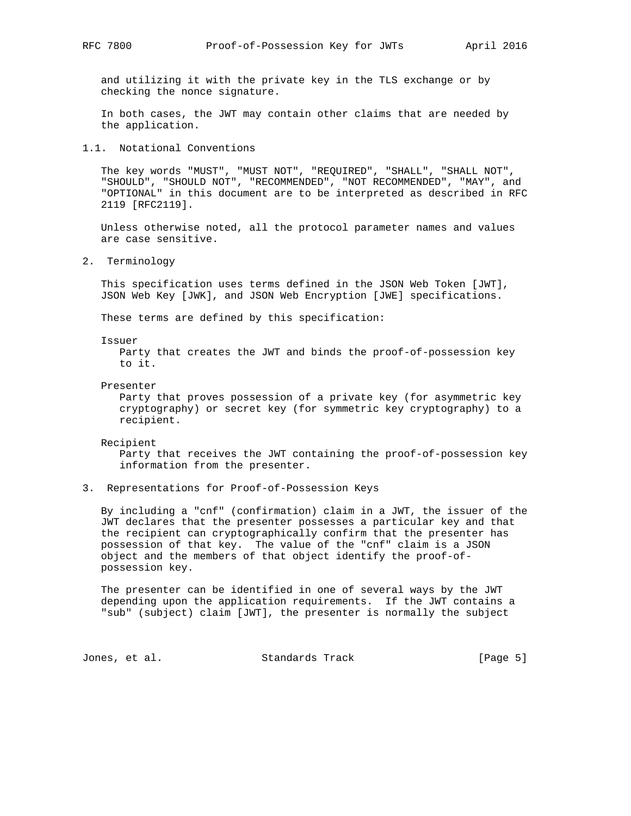and utilizing it with the private key in the TLS exchange or by checking the nonce signature.

 In both cases, the JWT may contain other claims that are needed by the application.

1.1. Notational Conventions

 The key words "MUST", "MUST NOT", "REQUIRED", "SHALL", "SHALL NOT", "SHOULD", "SHOULD NOT", "RECOMMENDED", "NOT RECOMMENDED", "MAY", and "OPTIONAL" in this document are to be interpreted as described in RFC 2119 [RFC2119].

 Unless otherwise noted, all the protocol parameter names and values are case sensitive.

2. Terminology

 This specification uses terms defined in the JSON Web Token [JWT], JSON Web Key [JWK], and JSON Web Encryption [JWE] specifications.

These terms are defined by this specification:

Issuer

 Party that creates the JWT and binds the proof-of-possession key to it.

Presenter

 Party that proves possession of a private key (for asymmetric key cryptography) or secret key (for symmetric key cryptography) to a recipient.

Recipient

 Party that receives the JWT containing the proof-of-possession key information from the presenter.

3. Representations for Proof-of-Possession Keys

 By including a "cnf" (confirmation) claim in a JWT, the issuer of the JWT declares that the presenter possesses a particular key and that the recipient can cryptographically confirm that the presenter has possession of that key. The value of the "cnf" claim is a JSON object and the members of that object identify the proof-of possession key.

 The presenter can be identified in one of several ways by the JWT depending upon the application requirements. If the JWT contains a "sub" (subject) claim [JWT], the presenter is normally the subject

Jones, et al. Standards Track [Page 5]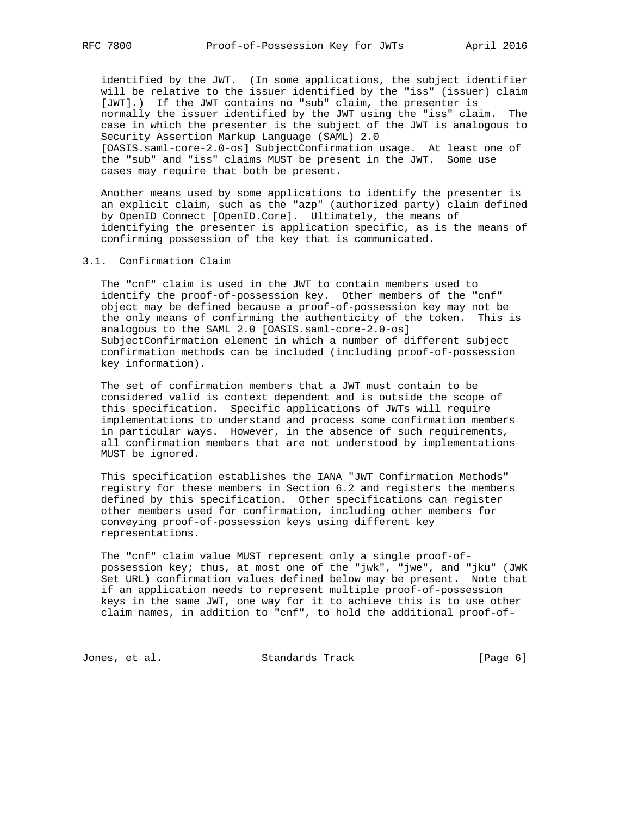identified by the JWT. (In some applications, the subject identifier will be relative to the issuer identified by the "iss" (issuer) claim [JWT].) If the JWT contains no "sub" claim, the presenter is normally the issuer identified by the JWT using the "iss" claim. The case in which the presenter is the subject of the JWT is analogous to Security Assertion Markup Language (SAML) 2.0 [OASIS.saml-core-2.0-os] SubjectConfirmation usage. At least one of the "sub" and "iss" claims MUST be present in the JWT. Some use cases may require that both be present.

 Another means used by some applications to identify the presenter is an explicit claim, such as the "azp" (authorized party) claim defined by OpenID Connect [OpenID.Core]. Ultimately, the means of identifying the presenter is application specific, as is the means of confirming possession of the key that is communicated.

3.1. Confirmation Claim

 The "cnf" claim is used in the JWT to contain members used to identify the proof-of-possession key. Other members of the "cnf" object may be defined because a proof-of-possession key may not be the only means of confirming the authenticity of the token. This is analogous to the SAML 2.0 [OASIS.saml-core-2.0-os] SubjectConfirmation element in which a number of different subject confirmation methods can be included (including proof-of-possession key information).

 The set of confirmation members that a JWT must contain to be considered valid is context dependent and is outside the scope of this specification. Specific applications of JWTs will require implementations to understand and process some confirmation members in particular ways. However, in the absence of such requirements, all confirmation members that are not understood by implementations MUST be ignored.

 This specification establishes the IANA "JWT Confirmation Methods" registry for these members in Section 6.2 and registers the members defined by this specification. Other specifications can register other members used for confirmation, including other members for conveying proof-of-possession keys using different key representations.

 The "cnf" claim value MUST represent only a single proof-of possession key; thus, at most one of the "jwk", "jwe", and "jku" (JWK Set URL) confirmation values defined below may be present. Note that if an application needs to represent multiple proof-of-possession keys in the same JWT, one way for it to achieve this is to use other claim names, in addition to "cnf", to hold the additional proof-of-

Jones, et al. Standards Track [Page 6]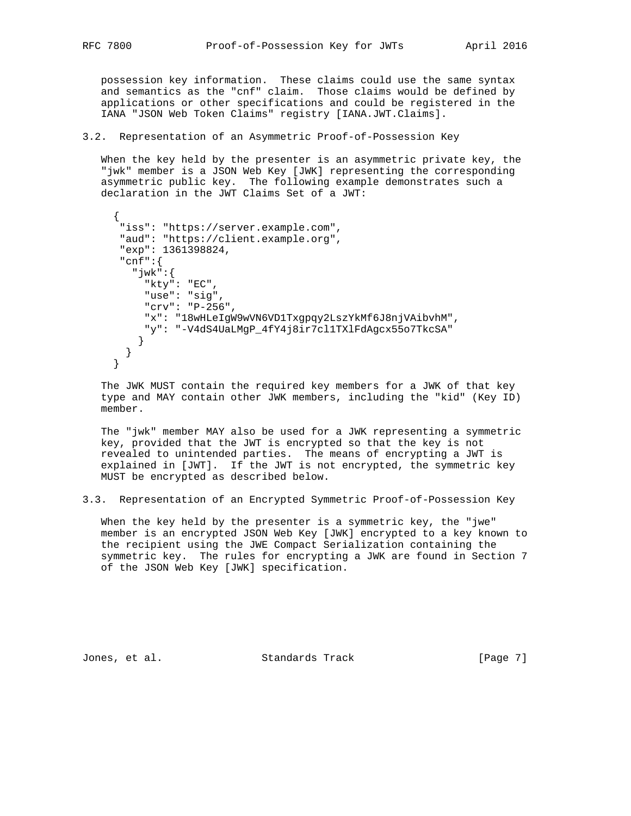possession key information. These claims could use the same syntax and semantics as the "cnf" claim. Those claims would be defined by applications or other specifications and could be registered in the IANA "JSON Web Token Claims" registry [IANA.JWT.Claims].

#### 3.2. Representation of an Asymmetric Proof-of-Possession Key

 When the key held by the presenter is an asymmetric private key, the "jwk" member is a JSON Web Key [JWK] representing the corresponding asymmetric public key. The following example demonstrates such a declaration in the JWT Claims Set of a JWT:

```
\{ "iss": "https://server.example.com",
       "aud": "https://client.example.org",
       "exp": 1361398824,
       "cnf":{
         "jwk":{
           "kty": "EC",
           "use": "sig",
           "crv": "P-256",
           "x": "18wHLeIgW9wVN6VD1Txgpqy2LszYkMf6J8njVAibvhM",
           "y": "-V4dS4UaLMgP_4fY4j8ir7cl1TXlFdAgcx55o7TkcSA"
          }
        }
      }
```
 The JWK MUST contain the required key members for a JWK of that key type and MAY contain other JWK members, including the "kid" (Key ID) member.

 The "jwk" member MAY also be used for a JWK representing a symmetric key, provided that the JWT is encrypted so that the key is not revealed to unintended parties. The means of encrypting a JWT is explained in [JWT]. If the JWT is not encrypted, the symmetric key MUST be encrypted as described below.

3.3. Representation of an Encrypted Symmetric Proof-of-Possession Key

 When the key held by the presenter is a symmetric key, the "jwe" member is an encrypted JSON Web Key [JWK] encrypted to a key known to the recipient using the JWE Compact Serialization containing the symmetric key. The rules for encrypting a JWK are found in Section 7 of the JSON Web Key [JWK] specification.

Jones, et al. Standards Track [Page 7]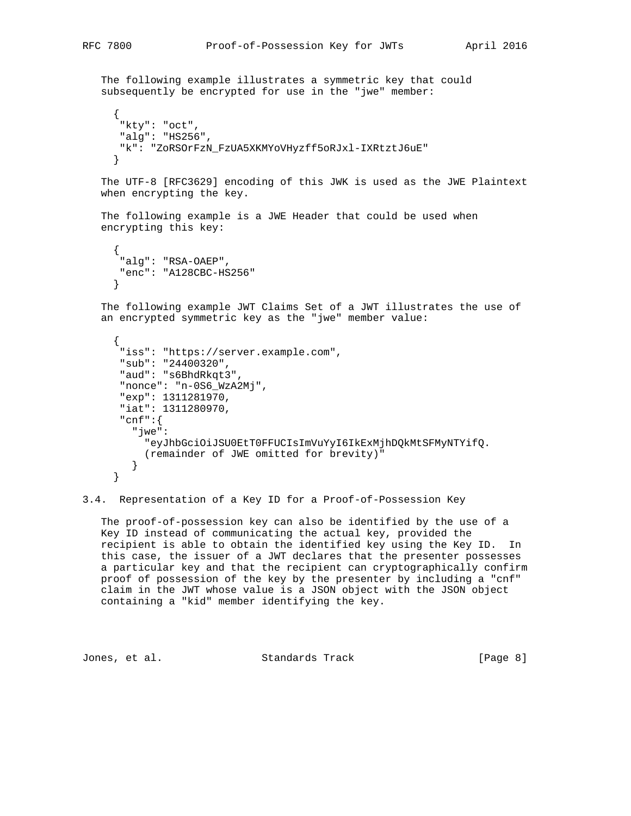The following example illustrates a symmetric key that could subsequently be encrypted for use in the "jwe" member:  $\{$  "kty": "oct", "alg": "HS256", "k": "ZoRSOrFzN\_FzUA5XKMYoVHyzff5oRJxl-IXRtztJ6uE" } The UTF-8 [RFC3629] encoding of this JWK is used as the JWE Plaintext when encrypting the key. The following example is a JWE Header that could be used when encrypting this key:

```
 {
  "alg": "RSA-OAEP",
  "enc": "A128CBC-HS256"
 }
```
 The following example JWT Claims Set of a JWT illustrates the use of an encrypted symmetric key as the "jwe" member value:

```
\left\{\begin{array}{ccc} \end{array}\right\} "iss": "https://server.example.com",
        "sub": "24400320",
        "aud": "s6BhdRkqt3",
        "nonce": "n-0S6_WzA2Mj",
        "exp": 1311281970,
        "iat": 1311280970,
        "cnf":{
          "jwe":
             "eyJhbGciOiJSU0EtT0FFUCIsImVuYyI6IkExMjhDQkMtSFMyNTYifQ.
            (remainder of JWE omitted for brevity)"
          }
       }
```
3.4. Representation of a Key ID for a Proof-of-Possession Key

 The proof-of-possession key can also be identified by the use of a Key ID instead of communicating the actual key, provided the recipient is able to obtain the identified key using the Key ID. In this case, the issuer of a JWT declares that the presenter possesses a particular key and that the recipient can cryptographically confirm proof of possession of the key by the presenter by including a "cnf" claim in the JWT whose value is a JSON object with the JSON object containing a "kid" member identifying the key.

Jones, et al. Standards Track [Page 8]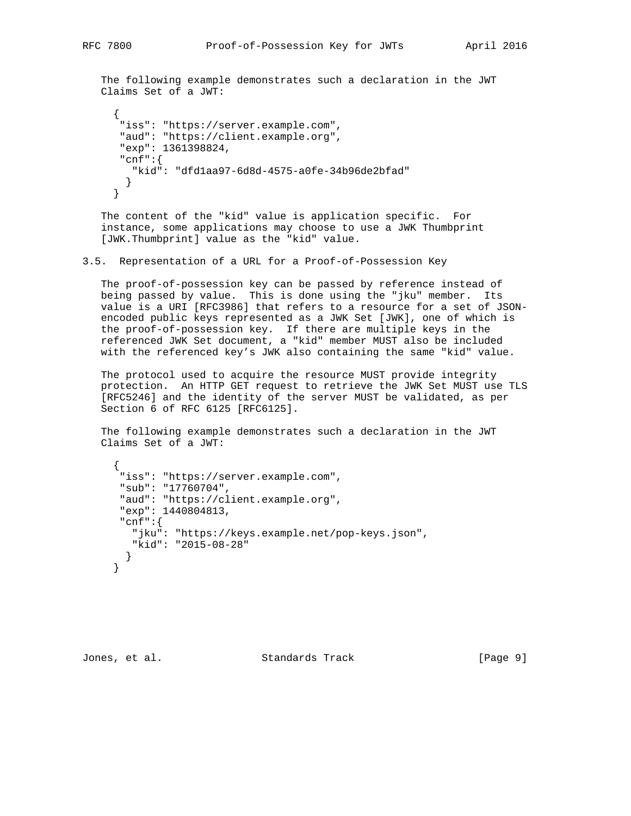The following example demonstrates such a declaration in the JWT Claims Set of a JWT:

```
\{ "iss": "https://server.example.com",
       "aud": "https://client.example.org",
       "exp": 1361398824,
       "cnf":{
        "kid": "dfd1aa97-6d8d-4575-a0fe-34b96de2bfad"
       }
      }
```
 The content of the "kid" value is application specific. For instance, some applications may choose to use a JWK Thumbprint [JWK.Thumbprint] value as the "kid" value.

3.5. Representation of a URL for a Proof-of-Possession Key

 The proof-of-possession key can be passed by reference instead of being passed by value. This is done using the "jku" member. Its value is a URI [RFC3986] that refers to a resource for a set of JSON encoded public keys represented as a JWK Set [JWK], one of which is the proof-of-possession key. If there are multiple keys in the referenced JWK Set document, a "kid" member MUST also be included with the referenced key's JWK also containing the same "kid" value.

 The protocol used to acquire the resource MUST provide integrity protection. An HTTP GET request to retrieve the JWK Set MUST use TLS [RFC5246] and the identity of the server MUST be validated, as per Section 6 of RFC 6125 [RFC6125].

 The following example demonstrates such a declaration in the JWT Claims Set of a JWT:

```
 {
  "iss": "https://server.example.com",
  "sub": "17760704",
  "aud": "https://client.example.org",
  "exp": 1440804813,
  "cnf":{
    "jku": "https://keys.example.net/pop-keys.json",
    "kid": "2015-08-28"
  }
 }
```
Jones, et al. Standards Track [Page 9]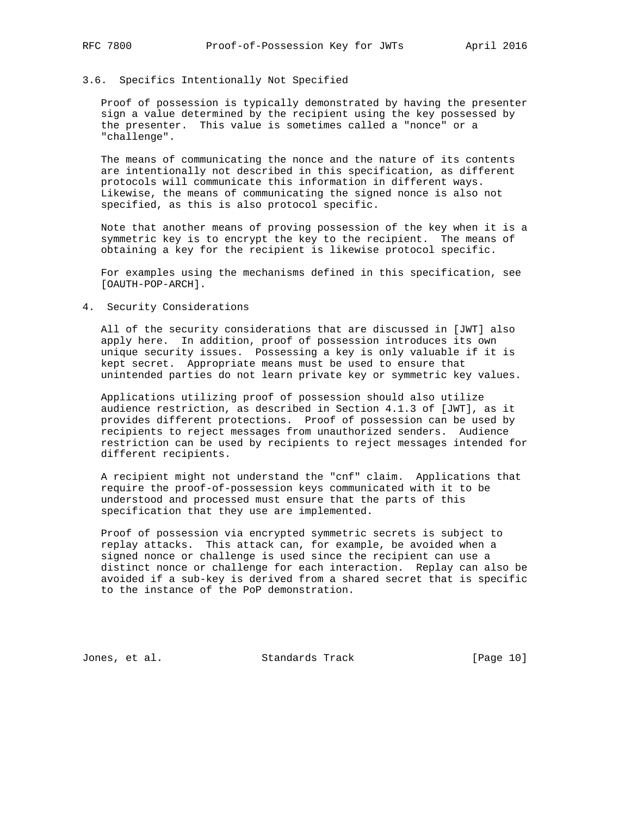## 3.6. Specifics Intentionally Not Specified

 Proof of possession is typically demonstrated by having the presenter sign a value determined by the recipient using the key possessed by the presenter. This value is sometimes called a "nonce" or a "challenge".

 The means of communicating the nonce and the nature of its contents are intentionally not described in this specification, as different protocols will communicate this information in different ways. Likewise, the means of communicating the signed nonce is also not specified, as this is also protocol specific.

 Note that another means of proving possession of the key when it is a symmetric key is to encrypt the key to the recipient. The means of obtaining a key for the recipient is likewise protocol specific.

 For examples using the mechanisms defined in this specification, see [OAUTH-POP-ARCH].

#### 4. Security Considerations

 All of the security considerations that are discussed in [JWT] also apply here. In addition, proof of possession introduces its own unique security issues. Possessing a key is only valuable if it is kept secret. Appropriate means must be used to ensure that unintended parties do not learn private key or symmetric key values.

 Applications utilizing proof of possession should also utilize audience restriction, as described in Section 4.1.3 of [JWT], as it provides different protections. Proof of possession can be used by recipients to reject messages from unauthorized senders. Audience restriction can be used by recipients to reject messages intended for different recipients.

 A recipient might not understand the "cnf" claim. Applications that require the proof-of-possession keys communicated with it to be understood and processed must ensure that the parts of this specification that they use are implemented.

 Proof of possession via encrypted symmetric secrets is subject to replay attacks. This attack can, for example, be avoided when a signed nonce or challenge is used since the recipient can use a distinct nonce or challenge for each interaction. Replay can also be avoided if a sub-key is derived from a shared secret that is specific to the instance of the PoP demonstration.

Jones, et al. Standards Track [Page 10]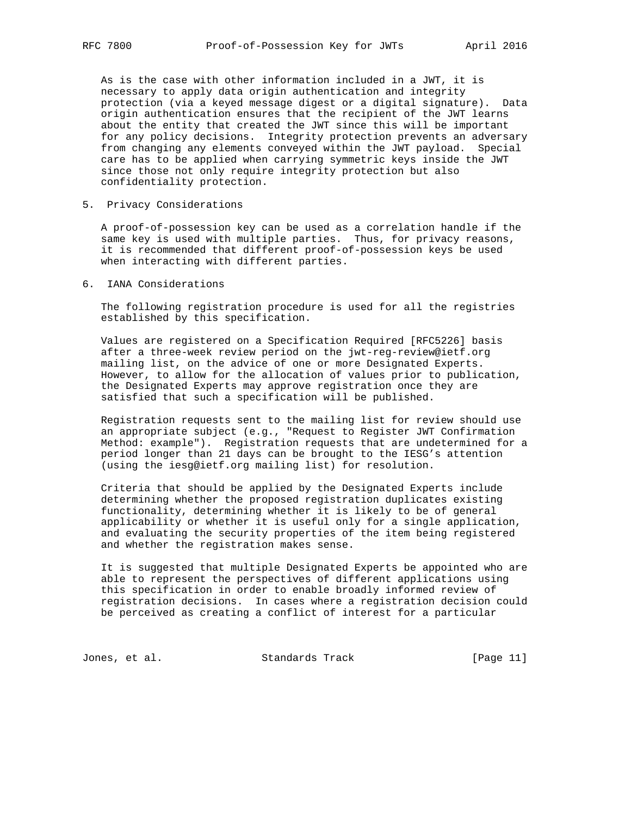As is the case with other information included in a JWT, it is necessary to apply data origin authentication and integrity protection (via a keyed message digest or a digital signature). Data origin authentication ensures that the recipient of the JWT learns about the entity that created the JWT since this will be important for any policy decisions. Integrity protection prevents an adversary from changing any elements conveyed within the JWT payload. Special care has to be applied when carrying symmetric keys inside the JWT since those not only require integrity protection but also confidentiality protection.

5. Privacy Considerations

 A proof-of-possession key can be used as a correlation handle if the same key is used with multiple parties. Thus, for privacy reasons, it is recommended that different proof-of-possession keys be used when interacting with different parties.

6. IANA Considerations

 The following registration procedure is used for all the registries established by this specification.

 Values are registered on a Specification Required [RFC5226] basis after a three-week review period on the jwt-reg-review@ietf.org mailing list, on the advice of one or more Designated Experts. However, to allow for the allocation of values prior to publication, the Designated Experts may approve registration once they are satisfied that such a specification will be published.

 Registration requests sent to the mailing list for review should use an appropriate subject (e.g., "Request to Register JWT Confirmation Method: example"). Registration requests that are undetermined for a period longer than 21 days can be brought to the IESG's attention (using the iesg@ietf.org mailing list) for resolution.

 Criteria that should be applied by the Designated Experts include determining whether the proposed registration duplicates existing functionality, determining whether it is likely to be of general applicability or whether it is useful only for a single application, and evaluating the security properties of the item being registered and whether the registration makes sense.

 It is suggested that multiple Designated Experts be appointed who are able to represent the perspectives of different applications using this specification in order to enable broadly informed review of registration decisions. In cases where a registration decision could be perceived as creating a conflict of interest for a particular

Jones, et al. Standards Track [Page 11]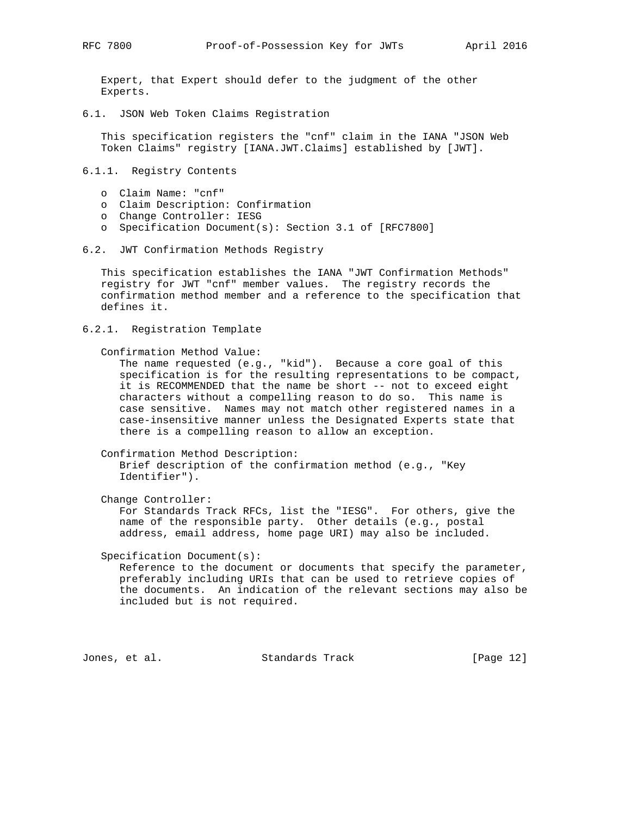Expert, that Expert should defer to the judgment of the other Experts.

6.1. JSON Web Token Claims Registration

 This specification registers the "cnf" claim in the IANA "JSON Web Token Claims" registry [IANA.JWT.Claims] established by [JWT].

- 6.1.1. Registry Contents
	- o Claim Name: "cnf"
	- o Claim Description: Confirmation
	- o Change Controller: IESG
	- o Specification Document(s): Section 3.1 of [RFC7800]
- 6.2. JWT Confirmation Methods Registry

 This specification establishes the IANA "JWT Confirmation Methods" registry for JWT "cnf" member values. The registry records the confirmation method member and a reference to the specification that defines it.

6.2.1. Registration Template

Confirmation Method Value:

 The name requested (e.g., "kid"). Because a core goal of this specification is for the resulting representations to be compact, it is RECOMMENDED that the name be short -- not to exceed eight characters without a compelling reason to do so. This name is case sensitive. Names may not match other registered names in a case-insensitive manner unless the Designated Experts state that there is a compelling reason to allow an exception.

 Confirmation Method Description: Brief description of the confirmation method (e.g., "Key Identifier").

Change Controller:

 For Standards Track RFCs, list the "IESG". For others, give the name of the responsible party. Other details (e.g., postal address, email address, home page URI) may also be included.

Specification Document(s):

 Reference to the document or documents that specify the parameter, preferably including URIs that can be used to retrieve copies of the documents. An indication of the relevant sections may also be included but is not required.

Jones, et al. Standards Track [Page 12]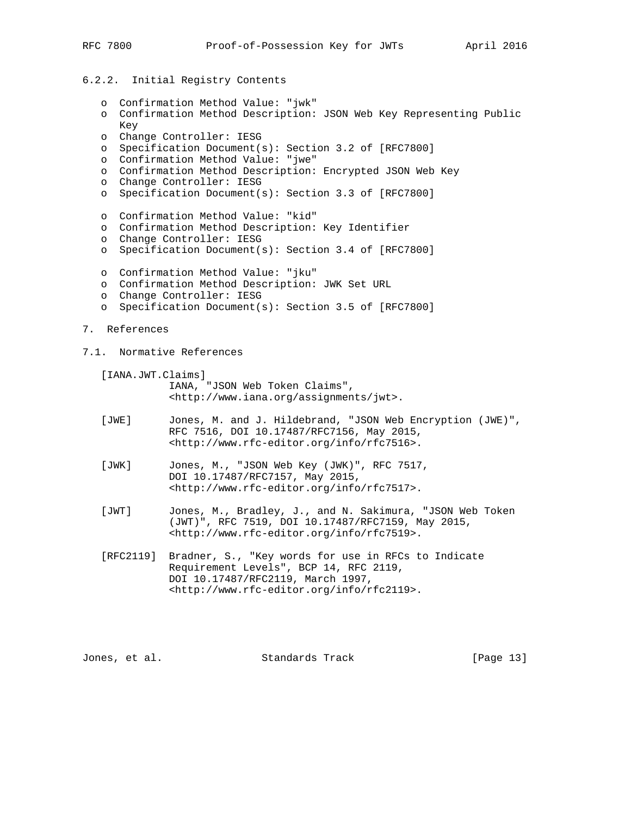# 6.2.2. Initial Registry Contents

 o Confirmation Method Value: "jwk" o Confirmation Method Description: JSON Web Key Representing Public Key o Change Controller: IESG o Specification Document(s): Section 3.2 of [RFC7800] o Confirmation Method Value: "jwe" o Confirmation Method Description: Encrypted JSON Web Key o Change Controller: IESG o Specification Document(s): Section 3.3 of [RFC7800] o Confirmation Method Value: "kid" o Confirmation Method Description: Key Identifier o Change Controller: IESG o Specification Document(s): Section 3.4 of [RFC7800] o Confirmation Method Value: "jku" o Confirmation Method Description: JWK Set URL o Change Controller: IESG o Specification Document(s): Section 3.5 of [RFC7800] 7. References 7.1. Normative References [IANA.JWT.Claims] IANA, "JSON Web Token Claims", <http://www.iana.org/assignments/jwt>. [JWE] Jones, M. and J. Hildebrand, "JSON Web Encryption (JWE)", RFC 7516, DOI 10.17487/RFC7156, May 2015, <http://www.rfc-editor.org/info/rfc7516>. [JWK] Jones, M., "JSON Web Key (JWK)", RFC 7517, DOI 10.17487/RFC7157, May 2015, <http://www.rfc-editor.org/info/rfc7517>. [JWT] Jones, M., Bradley, J., and N. Sakimura, "JSON Web Token (JWT)", RFC 7519, DOI 10.17487/RFC7159, May 2015, <http://www.rfc-editor.org/info/rfc7519>. [RFC2119] Bradner, S., "Key words for use in RFCs to Indicate Requirement Levels", BCP 14, RFC 2119, DOI 10.17487/RFC2119, March 1997, <http://www.rfc-editor.org/info/rfc2119>.

Jones, et al. Standards Track [Page 13]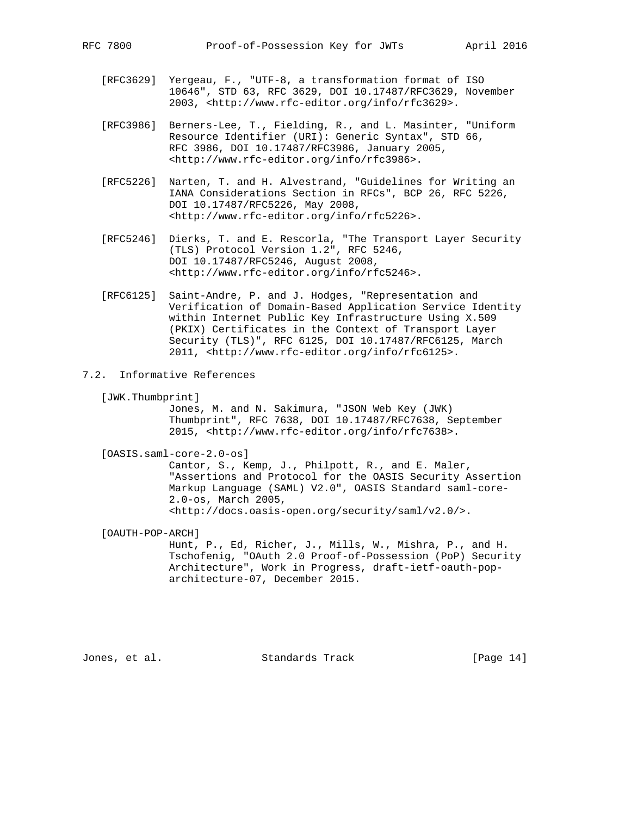- [RFC3629] Yergeau, F., "UTF-8, a transformation format of ISO 10646", STD 63, RFC 3629, DOI 10.17487/RFC3629, November 2003, <http://www.rfc-editor.org/info/rfc3629>.
- [RFC3986] Berners-Lee, T., Fielding, R., and L. Masinter, "Uniform Resource Identifier (URI): Generic Syntax", STD 66, RFC 3986, DOI 10.17487/RFC3986, January 2005, <http://www.rfc-editor.org/info/rfc3986>.
- [RFC5226] Narten, T. and H. Alvestrand, "Guidelines for Writing an IANA Considerations Section in RFCs", BCP 26, RFC 5226, DOI 10.17487/RFC5226, May 2008, <http://www.rfc-editor.org/info/rfc5226>.
- [RFC5246] Dierks, T. and E. Rescorla, "The Transport Layer Security (TLS) Protocol Version 1.2", RFC 5246, DOI 10.17487/RFC5246, August 2008, <http://www.rfc-editor.org/info/rfc5246>.
	- [RFC6125] Saint-Andre, P. and J. Hodges, "Representation and Verification of Domain-Based Application Service Identity within Internet Public Key Infrastructure Using X.509 (PKIX) Certificates in the Context of Transport Layer Security (TLS)", RFC 6125, DOI 10.17487/RFC6125, March 2011, <http://www.rfc-editor.org/info/rfc6125>.
- 7.2. Informative References
	- [JWK.Thumbprint]

 Jones, M. and N. Sakimura, "JSON Web Key (JWK) Thumbprint", RFC 7638, DOI 10.17487/RFC7638, September 2015, <http://www.rfc-editor.org/info/rfc7638>.

[OASIS.saml-core-2.0-os]

 Cantor, S., Kemp, J., Philpott, R., and E. Maler, "Assertions and Protocol for the OASIS Security Assertion Markup Language (SAML) V2.0", OASIS Standard saml-core- 2.0-os, March 2005, <http://docs.oasis-open.org/security/saml/v2.0/>.

 [OAUTH-POP-ARCH] Hunt, P., Ed, Richer, J., Mills, W., Mishra, P., and H. Tschofenig, "OAuth 2.0 Proof-of-Possession (PoP) Security Architecture", Work in Progress, draft-ietf-oauth-pop architecture-07, December 2015.

Jones, et al. Standards Track [Page 14]